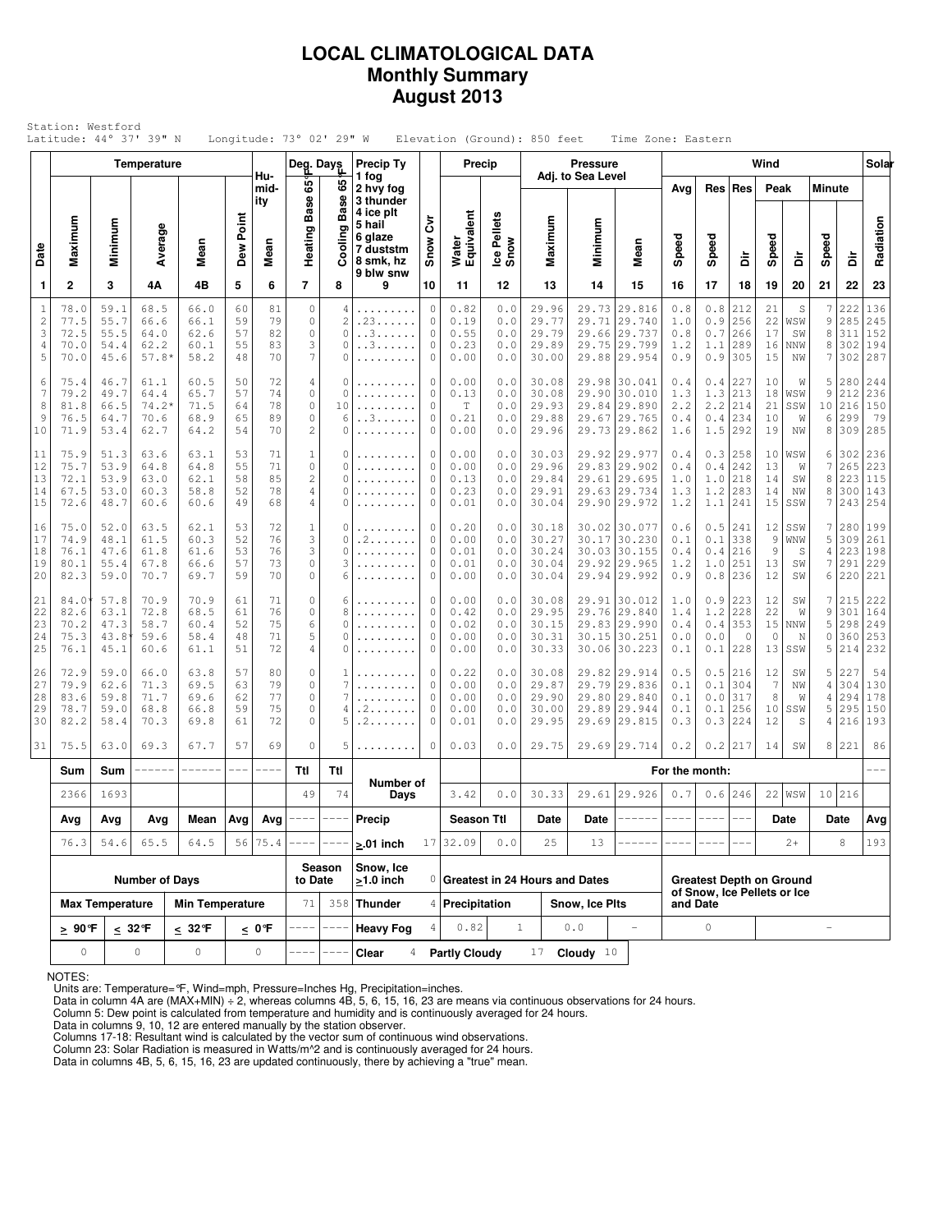### **LOCAL CLIMATOLOGICAL DATA Monthly Summary August 2013**

| Station: Westford<br>Latitude: 44° 37' 39" N<br>Longitude: $73^\circ$ 02' 29" W<br>Elevation (Ground): 850 feet<br>Time Zone: Eastern<br>Wind<br>Temperature<br><b>Precip Ty</b><br><b>Pressure</b><br>Deg. Days<br>Precip<br>Adj. to Sea Level<br>Hu-<br>1 fog |                                      |                                      |                                         |                                      |                            |                            |                                                                         |                                                  |                                             |                                 |                                      |                                   |                                           |                                  |                                                                  |                                                                            |                                       |                                 |                                 |                             |                                    |                                 |                                 |
|-----------------------------------------------------------------------------------------------------------------------------------------------------------------------------------------------------------------------------------------------------------------|--------------------------------------|--------------------------------------|-----------------------------------------|--------------------------------------|----------------------------|----------------------------|-------------------------------------------------------------------------|--------------------------------------------------|---------------------------------------------|---------------------------------|--------------------------------------|-----------------------------------|-------------------------------------------|----------------------------------|------------------------------------------------------------------|----------------------------------------------------------------------------|---------------------------------------|---------------------------------|---------------------------------|-----------------------------|------------------------------------|---------------------------------|---------------------------------|
|                                                                                                                                                                                                                                                                 |                                      |                                      |                                         |                                      |                            |                            |                                                                         |                                                  |                                             |                                 |                                      |                                   |                                           |                                  |                                                                  |                                                                            |                                       |                                 |                                 |                             |                                    |                                 | Solar                           |
|                                                                                                                                                                                                                                                                 |                                      |                                      |                                         |                                      |                            | mid-<br>ity                | 65<br>8<br>ã                                                            | 8<br>Φ<br>Bas                                    | 2 hvy fog<br>3 thunder<br>4 ice plt         |                                 |                                      |                                   |                                           |                                  |                                                                  | Avg                                                                        |                                       | Res Res                         | Peak                            |                             | <b>Minute</b>                      |                                 |                                 |
| Date                                                                                                                                                                                                                                                            | Maximum                              | Minimum                              | Average                                 | Mean                                 | Dew Point                  | Mean                       | Heating                                                                 | Cooling                                          | 5 hail<br>6 glaze<br>7 duststm<br>8 smk, hz | έ<br>Snow                       | Water<br>Equivalent                  | Ice Pellets<br>Snow               | Maximum                                   | Minimum                          | Mean                                                             | Speed                                                                      | Speed                                 | å                               | Speed                           | à                           | Speed                              | å                               | Radiation                       |
| 1                                                                                                                                                                                                                                                               | $\mathbf{2}$                         | 3                                    | 4Α                                      | 4B                                   | 5                          | 6                          | $\overline{7}$                                                          | 8                                                | 9 blw snw<br>9                              | 10                              | 11                                   | 12                                | 13                                        | 14                               | 15                                                               | 16                                                                         | 17                                    | 18                              | 19                              | 20                          | 21                                 | 22                              | 23                              |
| $1\,$<br>$\overline{c}$<br>3<br>$\overline{4}$<br>5                                                                                                                                                                                                             | 78.0<br>77.5<br>72.5<br>70.0<br>70.0 | 59.1<br>55.7<br>55.5<br>54.4<br>45.6 | 68.5<br>66.6<br>64.0<br>62.2<br>57.8    | 66.0<br>66.1<br>62.6<br>60.1<br>58.2 | 60<br>59<br>57<br>55<br>48 | 81<br>79<br>82<br>83<br>70 | $\circ$<br>0<br>$\circ$<br>3<br>7                                       | 4<br>$\overline{c}$<br>$\Omega$<br>$\Omega$<br>0 | .<br>.23<br>. . 3<br>. . 3                  | 0<br>0<br>0<br>0<br>0           | 0.82<br>0.19<br>0.55<br>0.23<br>0.00 | 0.0<br>0.0<br>0.0<br>0.0<br>0.0   | 29.96<br>29.77<br>29.79<br>29.89<br>30.00 | 29.73<br>29.71<br>29.66<br>29.75 | 29.816<br>29.740<br>29.737<br>29.799<br>29.88 29.954             | 0.8<br>1.0<br>0.8<br>1.2<br>0.9                                            | $0.8$<br>0.9<br>$0.7\,$<br>1.1<br>0.9 | 212<br>256<br>266<br>289<br>305 | 21<br>22<br>17<br>16<br>15      | S<br>WSW<br>SW<br>NNW<br>NW | 7<br>9<br>8<br>8<br>7              | 222<br>285<br>311<br>302<br>302 | 136<br>245<br>152<br>194<br>287 |
| $\epsilon$<br>$\overline{7}$<br>8<br>9<br>10                                                                                                                                                                                                                    | 75.4<br>79.2<br>81.8<br>76.5<br>71.9 | 46.7<br>49.7<br>66.5<br>64.7<br>53.4 | 61.1<br>64.4<br>$74.2*$<br>70.6<br>62.7 | 60.5<br>65.7<br>71.5<br>68.9<br>64.2 | 50<br>57<br>64<br>65<br>54 | 72<br>74<br>78<br>89<br>70 | 4<br>$\circ$<br>$\mathbb O$<br>$\circ$<br>$\overline{c}$                | $\Omega$<br>$\Omega$<br>10<br>6<br>$\Omega$      | .<br>.<br>. . 3                             | 0<br>0<br>0<br>0<br>0           | 0.00<br>0.13<br>T<br>0.21<br>0.00    | 0.0<br>0.0<br>0.0<br>$0.0$<br>0.0 | 30.08<br>30.08<br>29.93<br>29.88<br>29.96 | 29.67<br>29.73                   | 29.98 30.041<br>29.90 30.010<br>29.84 29.890<br>29.765<br>29.862 | 0.4<br>1.3<br>2.2<br>0.4<br>1.6                                            | 0.4<br>1.3<br>2.2<br>0.4<br>1.5       | 227<br>213<br>214<br>234<br>292 | 10<br>18<br>21<br>10<br>19      | W<br>WSW<br>SSW<br>W<br>ΝW  | 5<br>9<br>10<br>6<br>8             | 280<br>212<br>216<br>299<br>309 | 244<br>236<br>150<br>79<br>285  |
| 11<br>12<br>13<br>14<br>15                                                                                                                                                                                                                                      | 75.9<br>75.7<br>72.1<br>67.5<br>72.6 | 51.3<br>53.9<br>53.9<br>53.0<br>48.7 | 63.6<br>64.8<br>63.0<br>60.3<br>60.6    | 63.1<br>64.8<br>62.1<br>58.8<br>60.6 | 53<br>55<br>58<br>52<br>49 | 71<br>71<br>85<br>78<br>68 | $\mathbf 1$<br>$\mathsf{O}\xspace$<br>$\overline{c}$<br>$\sqrt{4}$<br>4 | 0<br>0<br>$\Omega$<br>$\Omega$<br>$\Omega$       | .                                           | 0<br>0<br>0<br>$\mathbb O$<br>0 | 0.00<br>0.00<br>0.13<br>0.23<br>0.01 | 0.0<br>0.0<br>0.0<br>0.0<br>0.0   | 30.03<br>29.96<br>29.84<br>29.91<br>30.04 | 29.83<br>29.61<br>29.63          | 29.92 29.977<br> 29.902<br>29.695<br>29.734<br>29.90 29.972      | 0.4<br>0.4<br>1.0<br>1.3<br>1.2                                            | 0.3<br>0.4<br>1.0<br>1.2<br>1.1       | 258<br>242<br>218<br>283<br>241 | 10<br>13<br>14<br>14<br>15      | WSW<br>W<br>SW<br>ΝW<br>SSW | 6<br>7<br>8<br>8<br>7              | 302<br>265<br>223<br>300<br>243 | 236<br>223<br>115<br>143<br>254 |
| 16<br>17<br>18<br>19<br>20                                                                                                                                                                                                                                      | 75.0<br>74.9<br>76.1<br>80.1<br>82.3 | 52.0<br>48.1<br>47.6<br>55.4<br>59.0 | 63.5<br>61.5<br>61.8<br>67.8<br>70.7    | 62.1<br>60.3<br>61.6<br>66.6<br>69.7 | 53<br>52<br>53<br>57<br>59 | 72<br>76<br>76<br>73<br>70 | $\mathbf{1}$<br>3<br>3<br>0<br>0                                        | 0<br>0<br>$\Omega$<br>3<br>6                     | . 2<br>.                                    | 0<br>0<br>0<br>0<br>0           | 0.20<br>0.00<br>0.01<br>0.01<br>0.00 | 0.0<br>0.0<br>0.0<br>0.0<br>0.0   | 30.18<br>30.27<br>30.24<br>30.04<br>30.04 | 30.03<br>29.92                   | 30.02 30.077<br>30.17 30.230<br>30.155<br>29.965<br>29.94 29.992 | 0.6<br>0.1<br>0.4<br>1.2<br>0.9                                            | 0.5<br>0.1<br>0.4<br>1.0<br>0.8       | 241<br>338<br>216<br>251<br>236 | 12<br>9<br>9<br>13<br>12        | SSW<br>WNW<br>S<br>SW<br>SW | 7<br>5<br>4<br>7<br>6              | 280<br>309<br>223<br>291<br>220 | 199<br>261<br>198<br>229<br>221 |
| 21<br>22<br>23<br>24<br>25                                                                                                                                                                                                                                      | 84.0<br>82.6<br>70.2<br>75.3<br>76.1 | 57.8<br>63.1<br>47.3<br>43.8<br>45.1 | 70.9<br>72.8<br>58.7<br>59.6<br>60.6    | 70.9<br>68.5<br>60.4<br>58.4<br>61.1 | 61<br>61<br>52<br>48<br>51 | 71<br>76<br>75<br>71<br>72 | 0<br>$\circ$<br>6<br>5<br>4                                             | 6<br>8<br>0<br>0<br>0                            | .                                           | 0<br>$\mathbb O$<br>0<br>0<br>0 | 0.00<br>0.42<br>0.02<br>0.00<br>0.00 | 0.0<br>0.0<br>0.0<br>0.0<br>0.0   | 30.08<br>29.95<br>30.15<br>30.31<br>30.33 | 29.76<br>30.15                   | 29.91 30.012<br>29.840<br>29.83 29.990<br>30.251<br>30.06 30.223 | $1.0$<br>1.4<br>0.4<br>0.0<br>0.1                                          | 0.9<br>1.2<br>0.4<br>0.0<br>0.1       | 223<br>228<br>353<br>0<br>228   | 12<br>22<br>15<br>$\circ$<br>13 | SW<br>W<br>NNW<br>N<br>SSW  | 7<br>9<br>5<br>$\circ$<br>5        | 215<br>301<br>298<br>360<br>214 | 222<br>164<br>249<br>253<br>232 |
| 26<br>27<br>28<br>29<br>30                                                                                                                                                                                                                                      | 72.9<br>79.9<br>83.6<br>78.7<br>82.2 | 59.0<br>62.6<br>59.8<br>59.0<br>58.4 | 66.0<br>71.3<br>71.7<br>68.8<br>70.3    | 63.8<br>69.5<br>69.6<br>66.8<br>69.8 | 57<br>63<br>62<br>59<br>61 | 80<br>79<br>77<br>75<br>72 | $\circ$<br>0<br>$\circ$<br>$\circ$<br>$\circ$                           | 1<br>7<br>7<br>4<br>5                            | . 2<br>. 2                                  | 0<br>0<br>$\mathbb O$<br>0<br>0 | 0.22<br>0.00<br>0.00<br>0.00<br>0.01 | 0.0<br>0.0<br>0.0<br>0.0<br>0.0   | 30.08<br>29.87<br>29.90<br>30.00<br>29.95 | 29.79<br>29.80<br>29.89          | 29.82 29.914<br>29.836<br>29.840<br>29.944<br>29.69 29.815       | 0.5<br>0.1<br>0.1<br>0.1<br>0.3                                            | 0.5<br>0.1<br>0.0<br>0.1<br>0.3       | 216<br>304<br>317<br>256<br>224 | 12<br>7<br>8<br>10<br>12        | SW<br>NW<br>W<br>SSW<br>S   | 5<br>4<br>$\overline{4}$<br>5<br>4 | 227<br>304<br>294<br>295<br>216 | 54<br>130<br>178<br>150<br>193  |
| 31                                                                                                                                                                                                                                                              | 75.5                                 | 63.0                                 | 69.3                                    | 67.7                                 | 57                         | 69                         | $\circ$                                                                 | 5                                                | .                                           | 0                               | 0.03                                 | 0.0                               | 29.75                                     |                                  | 29.69 29.714                                                     | 0.2                                                                        | 0.2                                   | 217                             | 14                              | SW                          | 8                                  | 221                             | 86                              |
|                                                                                                                                                                                                                                                                 | Sum                                  | Sum                                  |                                         |                                      | $---$                      | ----                       | Ttl                                                                     | Ttl                                              | Number of                                   |                                 |                                      |                                   |                                           |                                  |                                                                  | For the month:                                                             |                                       |                                 |                                 |                             |                                    |                                 |                                 |
|                                                                                                                                                                                                                                                                 | 1693<br>2366                         |                                      |                                         |                                      |                            |                            | 49                                                                      | 74                                               | Days                                        |                                 | 3.42                                 | 0.0                               | 30.33                                     |                                  | 29.61 29.926                                                     | 0.7                                                                        |                                       | $0.6$  246                      |                                 | 22 WSW                      |                                    | 10 216                          |                                 |
|                                                                                                                                                                                                                                                                 | Avg                                  | Avg                                  | Avg                                     | Mean<br>64.5                         | Avg<br>56                  | Avg                        |                                                                         |                                                  | Precip                                      |                                 | <b>Season Ttl</b>                    | $0.0$                             | Date<br>25                                | Date                             |                                                                  |                                                                            |                                       |                                 |                                 | Date                        |                                    | Date<br>8                       | Avg                             |
|                                                                                                                                                                                                                                                                 | 76.3                                 | 54.6                                 | 65.5                                    |                                      |                            | 75.4                       |                                                                         | Season                                           | $> 01$ inch<br>Snow, Ice                    | 17<br>$\circ$                   | 32.09                                |                                   |                                           | 13                               |                                                                  |                                                                            |                                       |                                 |                                 | $2+$                        |                                    |                                 | 193                             |
|                                                                                                                                                                                                                                                                 |                                      | <b>Max Temperature</b>               | <b>Number of Days</b>                   | <b>Min Temperature</b>               |                            |                            | to Date<br>71                                                           | 358                                              | $>1.0$ inch                                 |                                 | 4 Precipitation                      |                                   | Greatest in 24 Hours and Dates            | Snow, Ice Pits                   |                                                                  | <b>Greatest Depth on Ground</b><br>of Snow, Ice Pellets or Ice<br>and Date |                                       |                                 |                                 |                             |                                    |                                 |                                 |
|                                                                                                                                                                                                                                                                 |                                      |                                      | $\leq 32$ °F                            | $\leq 32$ °F                         |                            | $\leq 0$ °F                |                                                                         |                                                  | Thunder<br><b>Heavy Fog</b>                 |                                 | 0.82                                 |                                   | $\mathbf{1}$                              | $0.0$                            |                                                                  |                                                                            | $\circ$                               |                                 |                                 |                             | $\overline{\phantom{m}}$           |                                 |                                 |
|                                                                                                                                                                                                                                                                 | $\geq 90$ °F<br>0                    |                                      | 0                                       | 0                                    |                            | 0                          |                                                                         |                                                  | Clear<br>4                                  |                                 | <b>Partly Cloudy</b>                 |                                   | 17                                        | Cloudy $10$                      |                                                                  |                                                                            |                                       |                                 |                                 |                             |                                    |                                 |                                 |

NOTES:

Units are: Temperature=°F, Wind=mph, Pressure=Inches Hg, Precipitation=inches. Data in column 4A are (MAX+MIN) ÷ 2, whereas columns 4B, 5, 6, 15, 16, 23 are means via continuous observations for 24 hours.

Column 5: Dew point is calculated from temperature and humidity and is continuously averaged for 24 hours.

Data in columns 9, 10, 12 are entered manually by the station observer.

Columns 17-18: Resultant wind is calculated by the vector sum of continuous wind observations.<br>Column 23: Solar Radiation is measured in Watts/m^2 and is continuously averaged for 24 hours.<br>Data in columns 4B, 5, 6, 15, 16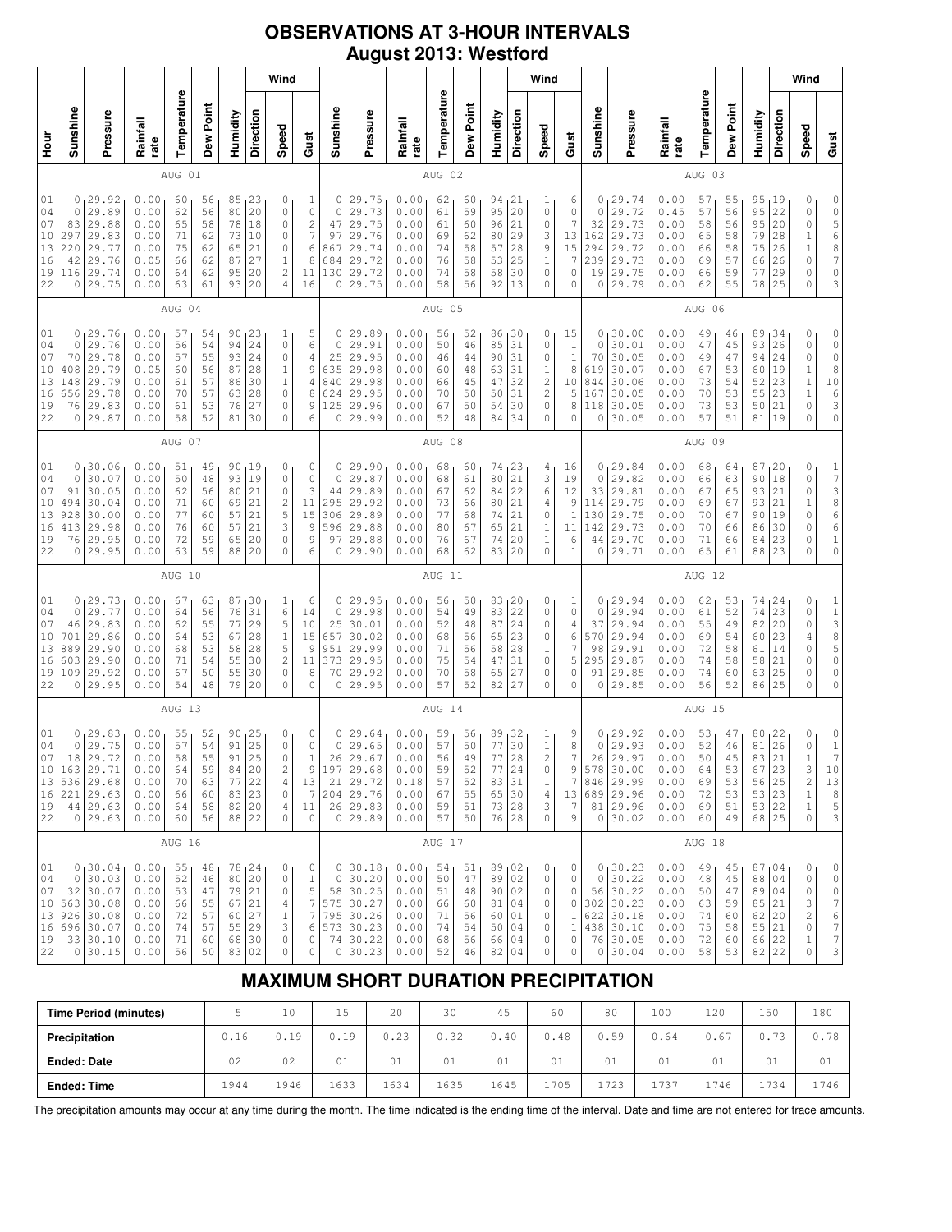## **OBSERVATIONS AT 3-HOUR INTERVALS August 2013: Westford**

|                                                                        |                                                     |                                                                                                      |                                                              |                                              |                                              |                                                                 |                                              | Wind                                                             |                                                                                                                                        |                                                               |                                                                          |                                                              |                                              |                                                  |                                                                                                       |                                               | Wind                                                                              |                                                                    |                                                        |                                                                                             |                                                              |                                              |                                              |                                                                        |                                               | Wind                                                                                                           |                                                                                  |
|------------------------------------------------------------------------|-----------------------------------------------------|------------------------------------------------------------------------------------------------------|--------------------------------------------------------------|----------------------------------------------|----------------------------------------------|-----------------------------------------------------------------|----------------------------------------------|------------------------------------------------------------------|----------------------------------------------------------------------------------------------------------------------------------------|---------------------------------------------------------------|--------------------------------------------------------------------------|--------------------------------------------------------------|----------------------------------------------|--------------------------------------------------|-------------------------------------------------------------------------------------------------------|-----------------------------------------------|-----------------------------------------------------------------------------------|--------------------------------------------------------------------|--------------------------------------------------------|---------------------------------------------------------------------------------------------|--------------------------------------------------------------|----------------------------------------------|----------------------------------------------|------------------------------------------------------------------------|-----------------------------------------------|----------------------------------------------------------------------------------------------------------------|----------------------------------------------------------------------------------|
| Hour<br>P                                                              | Sunshine                                            | Pressure                                                                                             | Rainfall<br>rate                                             | Temperature                                  | Dew Point                                    | Humidity                                                        | Direction                                    | Speed                                                            | Gust                                                                                                                                   | Sunshine                                                      | Pressure                                                                 | Rainfall<br>rate                                             | Temperature                                  | Dew Point                                        | Humidity                                                                                              | Direction                                     | Speed                                                                             | Gust                                                               | Sunshine                                               | Pressure                                                                                    | Rainfall<br>rate                                             | Temperature                                  | Dew Point                                    | Humidity                                                               | Direction                                     | Speed                                                                                                          | Gust                                                                             |
|                                                                        |                                                     | AUG 01                                                                                               |                                                              |                                              |                                              |                                                                 |                                              |                                                                  | AUG 02                                                                                                                                 |                                                               |                                                                          |                                                              |                                              |                                                  |                                                                                                       |                                               |                                                                                   | AUG 03                                                             |                                                        |                                                                                             |                                                              |                                              |                                              |                                                                        |                                               |                                                                                                                |                                                                                  |
| 01<br>04<br>07<br>10<br>13<br>16<br>19<br>22                           | 0<br>$\circ$<br>83<br>297<br>220<br>42<br>116<br>0  | 29.92<br>29.89<br>29.88<br>29.83<br>29.77<br>29.76<br>29.74<br>29.75                                 | 0.00<br>0.00<br>0.00<br>0.00<br>0.00<br>0.05<br>0.00<br>0.00 | 60<br>62<br>65<br>71<br>75<br>66<br>64<br>63 | 56<br>56<br>58<br>62<br>62<br>62<br>62<br>61 | 85<br>80<br>78<br>73<br>65<br>87<br>95<br>93                    | 23<br>20<br>18<br>10<br>21<br>27<br>20<br>20 | 0<br>0<br>0<br>0<br>0<br>$\mathbf 1$<br>2<br>$\sqrt{4}$          | 1<br>$\mathbb O$<br>$\mathfrak{2}% _{T}=\mathfrak{2}_{T}\!\left( a,b\right) ,\mathfrak{2}_{T}$<br>$\overline{7}$<br>6<br>8<br>11<br>16 | 0<br>$\circ$<br>47<br>97<br>867<br>684<br>130<br>0            | 75.29 <br>29.73<br>29.75<br>29.76<br>29.74<br>29.72<br>29.72<br>29.75    | 0.00<br>0.00<br>0.00<br>0.00<br>0.00<br>0.00<br>0.00<br>0.00 | 62<br>61<br>61<br>69<br>74<br>76<br>74<br>58 | 60<br>59<br>60<br>62<br>58<br>58<br>58<br>56     | 94,21<br>95<br>96<br>80<br>57<br>53<br>58<br>92                                                       | 20<br>21<br>29<br>28<br>25<br>30<br>13        | 1<br>0<br>0<br>3<br>9<br>$\,1\,$<br>0<br>0                                        | 6<br>0<br>7<br>13<br>15<br>7<br>0<br>0                             | 0<br>$\circ$<br>32<br>162<br>294<br>239<br>19<br>0     | 29.74<br>.72<br>29<br>29.73<br>29.73<br>29.72<br>29.73<br>29.75<br>29.79                    | 0.00<br>0.45<br>0.00<br>0.00<br>0.00<br>0.00<br>0.00<br>0.00 | 57<br>57<br>58<br>65<br>66<br>69<br>66<br>62 | 55<br>56<br>56<br>58<br>58<br>57<br>59<br>55 | 95, 19<br>95<br>95<br>79<br>75<br>66<br>77<br>78                       | 22<br>20<br>28<br>26<br>26<br>29<br>25        | 0<br>$\circ$<br>0<br>$\mathbf 1$<br>$\mathbf 1$<br>$\mathsf{O}\xspace$<br>$\circ$<br>$\Omega$                  | 0<br>$\circ$<br>$\begin{array}{c} 5 \\ 6 \end{array}$<br>8<br>7<br>$\circ$<br>3  |
|                                                                        |                                                     |                                                                                                      |                                                              | AUG 04                                       |                                              |                                                                 |                                              |                                                                  |                                                                                                                                        |                                                               |                                                                          |                                                              | AUG 05                                       |                                                  |                                                                                                       |                                               |                                                                                   |                                                                    |                                                        |                                                                                             |                                                              | AUG 06                                       |                                              |                                                                        |                                               |                                                                                                                |                                                                                  |
| 01<br>04<br>07<br>10<br>13<br>16<br>19<br>22                           | 0<br>0<br>70<br>408<br>148<br>656<br>76<br>$\circ$  | 29.76<br>29.76<br>29.78<br>29.79<br>29.79<br>29.78<br>29.83<br>29.87                                 | 0.00<br>0.00<br>0.00<br>0.05<br>0.00<br>0.00<br>0.00<br>0.00 | 57<br>56<br>57<br>60<br>61<br>70<br>61<br>58 | 54<br>54<br>55<br>56<br>57<br>57<br>53<br>52 | 90<br>94<br>93<br>87<br>86<br>63<br>76<br>81                    | 23<br>24<br>24<br>28<br>30<br>28<br>27<br>30 | 1<br>0<br>0<br>1<br>$\mathbf 1$<br>0<br>0<br>0                   | 5<br>6<br>$\overline{4}$<br>$\mathsf 9$<br>$\sqrt{4}$<br>8<br>9<br>6                                                                   | 0<br>$\circ$<br>25<br>635<br>840<br>624<br>125<br>0           | 29.89<br>29.91<br>29.95<br>29.98<br>29.98<br>29.95<br>29.96<br>29.99     | 0.00<br>0.00<br>0.00<br>0.00<br>0.00<br>0.00<br>0.00<br>0.00 | 56<br>50<br>46<br>60<br>66<br>70<br>67<br>52 | 52<br>46<br>44<br>48<br>45<br>50<br>50<br>48     | 86<br>85<br>90<br>63<br>47<br>50<br>54<br>84                                                          | 30<br>31<br>31<br>31<br>32<br>31<br>30<br>34  | 0<br>0<br>0<br>1<br>$\overline{\mathbf{c}}$<br>$\mathbf{2}$<br>0<br>0             | 15<br>$\,1\,$<br>$\mathbf{1}$<br>8<br>10<br>5<br>8<br>0            | 0<br>0<br>70<br>619<br>844<br>167<br>118<br>0          | 30.00<br>30.01<br>30.05<br>30.07<br>30.06<br>30.05<br>30.05<br>30.05                        | 0.00<br>0.00<br>0.00<br>0.00<br>0.00<br>0.00<br>0.00<br>0.00 | 49<br>47<br>49<br>67<br>73<br>70<br>73<br>57 | 46<br>45<br>47<br>53<br>54<br>53<br>53<br>51 | 89<br>93<br>94<br>60<br>52<br>55<br>50<br>81                           | 34<br>26<br>24<br>19<br>23<br>23<br>21<br>19  | 0<br>$\mathsf{O}\xspace$<br>$\mathsf{O}\xspace$<br>$\mathbbm{1}$<br>$\mathbf 1$<br>$\mathbf 1$<br>$\circ$<br>0 | 0<br>0<br>$\mathbb O$<br>8<br>$10$<br>6<br>3<br>0                                |
|                                                                        |                                                     |                                                                                                      |                                                              | AUG 07                                       |                                              |                                                                 |                                              |                                                                  |                                                                                                                                        |                                                               |                                                                          |                                                              | AUG 08                                       |                                                  |                                                                                                       |                                               |                                                                                   |                                                                    |                                                        |                                                                                             |                                                              | AUG 09                                       |                                              |                                                                        |                                               |                                                                                                                |                                                                                  |
| 01<br>04<br>07<br>10<br>13<br>16<br>19<br>22                           | 0<br>$\circ$<br>91<br>494<br>928<br>413<br>76<br>0  | 30.06<br>30.07<br>30.05<br>30.04<br>30.00<br>29.98<br>29.95<br>29.95                                 | 0.00<br>0.00<br>0.00<br>0.00<br>0.00<br>0.00<br>0.00<br>0.00 | 51<br>50<br>62<br>71<br>77<br>76<br>72<br>63 | 49<br>48<br>56<br>60<br>60<br>60<br>59<br>59 | 90<br>93<br>80<br>69<br>57<br>57<br>65<br>88                    | 19<br>19<br>21<br>21<br>21<br>21<br>20<br>20 | 0<br>0<br>0<br>$\overline{\mathbf{c}}$<br>5<br>3<br>0<br>0       | 0<br>$\mathbb O$<br>3<br>$1\,1$<br>15<br>9<br>9<br>6                                                                                   | 0<br>$\circ$<br>44<br>295<br>306<br>596<br>97<br>0            | 29.90<br>29.87<br>29.89<br>29.92<br>29.89<br>29.88<br>29.88<br>29.90     | 0.00<br>0.00<br>0.00<br>0.00<br>0.00<br>0.00<br>0.00<br>0.00 | 68<br>68<br>67<br>73<br>77<br>80<br>76<br>68 | 60<br>61<br>62<br>66<br>68<br>67<br>67<br>62     | 74<br>80<br>84<br>80<br>74<br>65<br>74<br>83                                                          | 123<br>21<br>22<br>21<br>21<br>21<br>20<br>20 | 4<br>3<br>6<br>4<br>0<br>$\mathbf 1$<br>$\mathbf 1$<br>0                          | 16<br>19<br>12<br>9<br>$\mathbf{1}$<br>$1\,1$<br>6<br>$\mathbf{1}$ | 0<br>0<br>33<br>114<br>130<br>142<br>44<br>0           | 29.84<br>29.82<br>29.81<br>29.79<br>29.75<br>29.73<br>29.70<br>29.71                        | 0.00<br>0.00<br>0.00<br>0.00<br>0.00<br>0.00<br>0.00<br>0.00 | 68<br>66<br>67<br>69<br>70<br>70<br>71<br>65 | 64<br>63<br>65<br>67<br>67<br>66<br>66<br>61 | 87<br>90<br>93<br>93<br>90<br>86<br>84<br>88                           | 120<br>18<br>21<br>21<br>19<br>30<br>23<br>23 | 0<br>$\mathbb O$<br>$\circ$<br>$\mathbf 1$<br>$\mathbb O$<br>$\circ$<br>0<br>$\Omega$                          | $\frac{1}{7}$<br>3<br>8<br>6<br>6<br>$\,1\,$<br>0                                |
|                                                                        |                                                     |                                                                                                      |                                                              | AUG 10                                       |                                              |                                                                 |                                              |                                                                  |                                                                                                                                        |                                                               |                                                                          |                                                              | AUG 11                                       |                                                  |                                                                                                       |                                               |                                                                                   |                                                                    |                                                        |                                                                                             |                                                              | AUG 12                                       |                                              |                                                                        |                                               |                                                                                                                |                                                                                  |
| 01<br>04<br>07<br>10<br>13<br>16<br>19<br>22                           | 0<br>$\circ$<br>46<br>701<br>889<br>603<br>109<br>0 | 29.73<br>29.77<br>29.83<br>29.86<br>29.90<br>29.90<br>29.92<br>29.95                                 | 0.00<br>0.00<br>0.00<br>0.00<br>0.00<br>0.00<br>0.00<br>0.00 | 67<br>64<br>62<br>64<br>68<br>71<br>67<br>54 | 63<br>56<br>55<br>53<br>53<br>54<br>50<br>48 | 87<br>76<br>77<br>67<br>58<br>55<br>55<br>79                    | 30<br>31<br>29<br>28<br>28<br>30<br>30<br>20 | $\mathbf{1}$<br>6<br>5<br>$\mathbf 1$<br>5<br>2<br>0<br>0        | 6<br>14<br>$10$<br>15<br>9<br>11<br>8<br>$\mathbf 0$                                                                                   | 0<br>$\circ$<br>25<br>657<br>951<br>373<br>70<br>0            | 129.95<br>29.98<br>30.01<br>30.02<br>29.99<br>29.95<br>29.92<br>29.95    | 0.00<br>0.00<br>0.00<br>0.00<br>0.00<br>0.00<br>0.00<br>0.00 | 56<br>54<br>52<br>68<br>71<br>75<br>70<br>57 | 50<br>49<br>48<br>56<br>56<br>54<br>58<br>52     | 83, 20<br>83<br>87<br>65<br>58<br>47<br>65<br>82                                                      | 22<br>24<br>23<br>28<br>31<br>27<br>27        | 0<br>0<br>0<br>0<br>$\mathbf 1$<br>0<br>0<br>0                                    | 1<br>0<br>4<br>6<br>7<br>5<br>0<br>0                               | 0<br>$\mathbf{0}$<br>37<br>570<br>98<br>295<br>91<br>0 | 29.94<br>29.94<br>29.94<br>29.94<br>29.91<br>29.87<br>29.85<br>29.85                        | 0.00<br>0.00<br>0.00<br>0.00<br>0.00<br>0.00<br>0.00<br>0.00 | 62<br>61<br>55<br>69<br>72<br>74<br>74<br>56 | 53<br>52<br>49<br>54<br>58<br>58<br>60<br>52 | 74<br>74<br>82<br>60<br>61<br>58<br>63<br>86                           | 24<br>23<br>20<br>23<br>14<br>21<br>25<br>25  | 0<br>$\circ$<br>$\mathsf{O}\xspace$<br>$\overline{4}$<br>$\circ$<br>$\mathbb O$<br>$\circ$<br>$\mathbf 0$      | $\begin{array}{c} 1 \\ 1 \\ 3 \end{array}$<br>8<br>5<br>0<br>0<br>0              |
|                                                                        |                                                     |                                                                                                      |                                                              | AUG 13                                       |                                              |                                                                 |                                              |                                                                  |                                                                                                                                        |                                                               |                                                                          |                                                              | AUG 14                                       |                                                  |                                                                                                       |                                               |                                                                                   |                                                                    |                                                        |                                                                                             |                                                              | AUG 15                                       |                                              |                                                                        |                                               |                                                                                                                |                                                                                  |
| 01<br>04<br>07<br>10 <sup>1</sup><br>13<br>16<br>19<br>22              | 0                                                   | 0, 29.83<br>29.75<br>18 29.72<br>163 29.71<br>536 29.68<br>$221$ 29.63<br>$44 \mid 29.63$<br>0 29.63 | 0.00<br>0.00<br>0.00<br>0.00<br>0.00<br>0.00<br>0.00<br>0.00 | 55<br>57<br>58<br>64<br>70<br>66<br>64<br>60 | 52<br>54<br>55<br>59<br>63<br>60<br>58<br>56 | 90<br>91<br>91<br>84<br>77<br>83 23<br>82 20<br>88 22           | 125<br>25<br>25<br>20<br>22                  | 0<br>$\mathsf{O}\xspace$<br>0<br>2<br>4<br>$\mathbb O$<br>4<br>0 | 0<br>$\mathbb O$<br>$\mathbf 1$<br>9<br>13<br>7<br>11<br>$\circ$                                                                       | 0<br>$\mathbb O$<br>26<br>197<br>21<br>204 29.76              | 129.64<br>29.65<br>29.67<br>29.68<br>29.72<br>$26 \mid 29.83$<br>0 29.89 | 0.00<br>0.00<br>0.00<br>0.00<br>0.18<br>0.00<br>0.00<br>0.00 | 59<br>57<br>56<br>59<br>57<br>67<br>59<br>57 | 56<br>50<br>49<br>52<br>52<br>55<br>$5\,1$<br>50 | 89,32<br>77<br>77<br>77<br>83 31<br>$\begin{array}{ c c }\n 65 & 30 \\ 73 & 28\n\end{array}$<br>76 28 | 30<br>28<br>24                                | $\mathbf{1}$<br>$\,1\,$<br>$\mathbf{2}$<br>0<br>$1\,$<br>$\overline{4}$<br>3<br>0 | 9<br>8<br>7<br>9<br>7<br>13<br>7<br>9                              | 0<br>0<br>26<br>578                                    | 29.92<br>29.93<br>29.97<br>30.00<br>846 29.99<br>689 29.96<br>81 29.96<br>0 30.02           | 0.00<br>0.00<br>0.00<br>0.00<br>0.00<br>0.00<br>0.00<br>0.00 | 53<br>52<br>50<br>64<br>69<br>72<br>69<br>60 | 47<br>46<br>45<br>53<br>53<br>53<br>51<br>49 | 80, 22<br>81<br>83<br>67 23<br>56 25<br>53 23<br>53 22<br>68 25        | 26<br>21                                      | 0<br>$\mathsf{O}\xspace$<br>$\mathbf{1}$<br>3<br>$\sqrt{2}$<br>$\mathbf 1$<br>$\mathbf 1$<br>$\mathbf 0$       | $\circ$<br>$\mathbf 1$<br>$\gamma$<br>10<br>$13$<br>$\,8\,$<br>5<br>3            |
|                                                                        |                                                     |                                                                                                      |                                                              | AUG 16                                       |                                              |                                                                 |                                              |                                                                  |                                                                                                                                        |                                                               |                                                                          |                                                              | AUG 17                                       |                                                  |                                                                                                       |                                               |                                                                                   |                                                                    |                                                        |                                                                                             |                                                              | AUG 18                                       |                                              |                                                                        |                                               |                                                                                                                |                                                                                  |
| 01 <sub>1</sub><br>04<br>07<br>10 <sup>1</sup><br>13<br>16<br>19<br>22 |                                                     | 0, 30.04<br>0 30.03<br>32 30.07<br>563 30.08<br>926 30.08<br>696 30.07<br>33 30.10<br>0 30.15        | 0.00<br>0.00<br>0.00<br>0.00<br>0.00<br>0.00<br>0.00<br>0.00 | 55<br>52<br>53<br>66<br>72<br>74<br>71<br>56 | 48<br>46<br>47<br>55<br>57<br>57<br>60<br>50 | 78, 24<br>80 20<br>79 21<br>67<br>60<br>55 29<br>68 30<br>83 02 | 21<br>27                                     | 0<br>0<br>0<br>4<br>$\mathbf 1$<br>3<br>$\mathbb O$<br>0         | 0<br>$1\,$<br>5<br>$\boldsymbol{7}$<br>$\boldsymbol{7}$<br>6<br>0<br>0                                                                 | $\circ$<br>575 30.27<br>795 30.26<br>573 30.23<br>$\mathbb O$ | 0, 30.18<br>30.20<br>58 30.25<br>74 30.22<br>30.23                       | 0.00<br>0.00<br>0.00<br>0.00<br>0.00<br>0.00<br>0.00<br>0.00 | 54<br>50<br>51<br>66<br>71<br>74<br>68<br>52 | 51<br>47<br>48<br>60<br>56<br>54<br>56<br>46     | 89,02<br>89 02<br>90 02<br>81<br>60<br>50<br>66  <br>82                                               | 04<br>01<br>04<br>04<br>04                    | 0<br>0<br>0<br>0<br>0<br>0<br>0<br>0                                              | 0<br>0<br>0<br>0<br>$\mathbf{1}$<br>$\mathbf{1}$<br>0<br>0         | $\circ$                                                | 0, 30.23<br>30.22<br>56 30.22<br>302 30.23<br>622 30.18<br>438 30.10<br>76 30.05<br>0 30.04 | 0.00<br>0.00<br>0.00<br>0.00<br>0.00<br>0.00<br>0.00<br>0.00 | 49<br>48<br>50<br>63<br>74<br>75<br>72<br>58 | 45<br>45<br>47<br>59<br>60<br>58<br>60<br>53 | 87,04<br>88 04<br>89 04<br>85 21<br>62 20<br>55 21<br>66 22<br>$82$ 22 |                                               | 0<br>0<br>0<br>3<br>$\sqrt{2}$<br>0<br>1<br>$\mathbf 0$                                                        | $\mathbb O$<br>$\mathbb O$<br>$\mathbb O$<br>7<br>$\frac{6}{7}$<br>$\gamma$<br>3 |

# **MAXIMUM SHORT DURATION PRECIPITATION**

| <b>Time Period (minutes)</b> |      | 10   | 1 E  | 20   | 30   | 45   | 60   | 80   | 100  | 120  | 150  | 180  |
|------------------------------|------|------|------|------|------|------|------|------|------|------|------|------|
| Precipitation                | 0.16 | 0.19 | 0.19 | 0.23 | 0.32 | 0.40 | 0.48 | 0.59 | 0.64 | 0.67 | 0.73 | 0.78 |
| <b>Ended: Date</b>           | 02   | 02   | 01   | 01   | 01   | 01   | 01   | 01   | 01   | 01   | 01   | 01   |
| <b>Ended: Time</b>           | 1944 | 1946 | 1633 | 1634 | 1635 | 1645 | 1705 | 1723 | 1737 | .746 | 1734 | 1746 |

The precipitation amounts may occur at any time during the month. The time indicated is the ending time of the interval. Date and time are not entered for trace amounts.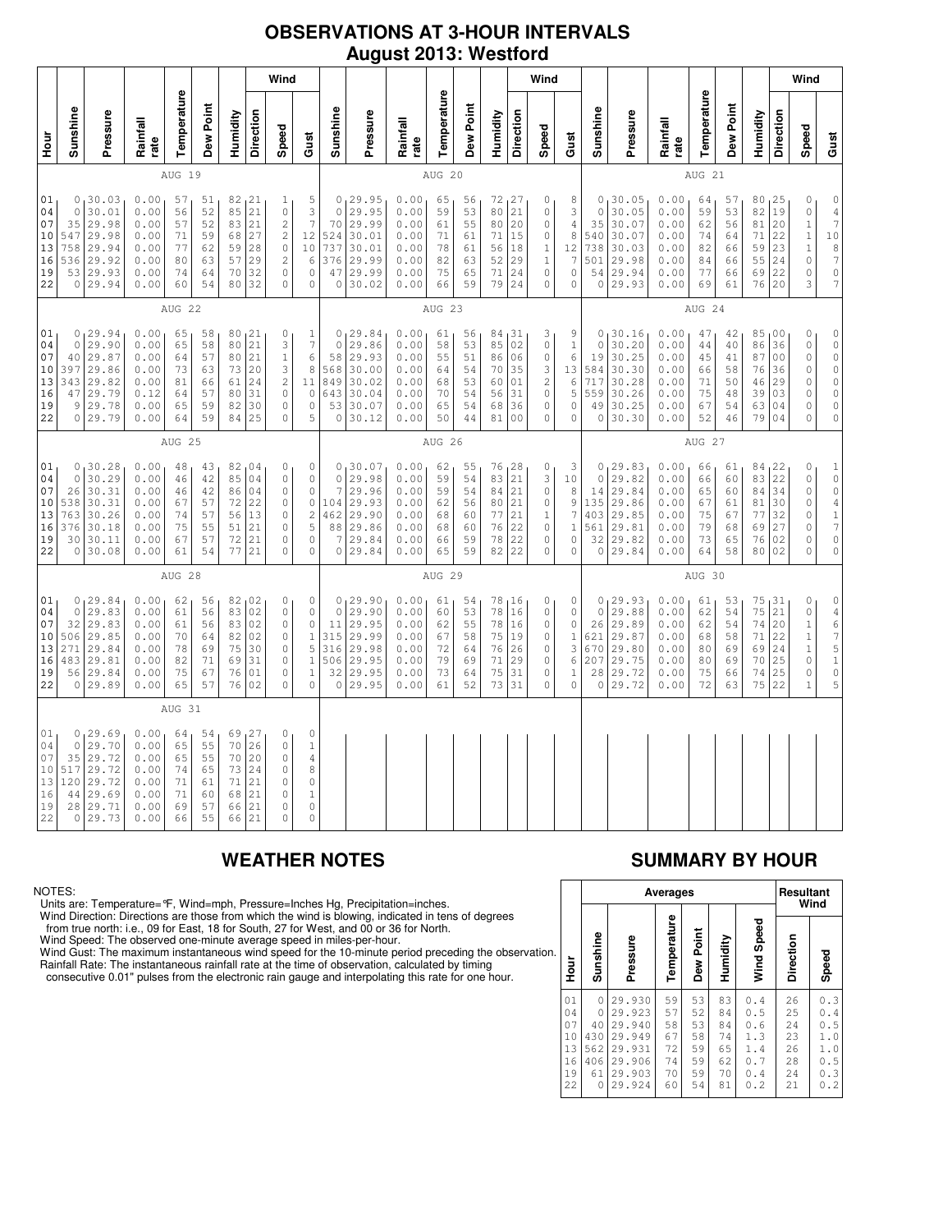### **OBSERVATIONS AT 3-HOUR INTERVALS August 2013: Westford**

|                                                |                                                           |                                                                         |                                                              |                                              |                                              |                                              | Wind                                             |                                                                                                                                                                     |                                                                                             |                                                           |                                                                         |                                                              |                                              |                                              |                                                  | Wind                                               |                                                                                               |                                                    |                                                                |                                                                         |                                                              |                                              |                                              |                                                 | Wind                                               |                                                                                                       |                                                                                                                              |
|------------------------------------------------|-----------------------------------------------------------|-------------------------------------------------------------------------|--------------------------------------------------------------|----------------------------------------------|----------------------------------------------|----------------------------------------------|--------------------------------------------------|---------------------------------------------------------------------------------------------------------------------------------------------------------------------|---------------------------------------------------------------------------------------------|-----------------------------------------------------------|-------------------------------------------------------------------------|--------------------------------------------------------------|----------------------------------------------|----------------------------------------------|--------------------------------------------------|----------------------------------------------------|-----------------------------------------------------------------------------------------------|----------------------------------------------------|----------------------------------------------------------------|-------------------------------------------------------------------------|--------------------------------------------------------------|----------------------------------------------|----------------------------------------------|-------------------------------------------------|----------------------------------------------------|-------------------------------------------------------------------------------------------------------|------------------------------------------------------------------------------------------------------------------------------|
| Hour<br>P                                      | Sunshine                                                  | Pressure                                                                | Rainfall<br>rate                                             | Temperature                                  | Dew Point                                    | Humidity                                     | Direction                                        | Speed                                                                                                                                                               | Gust                                                                                        | Sunshine                                                  | Pressure                                                                | Rainfall<br>rate                                             | Temperature                                  | Dew Point                                    | Humidity                                         | Direction                                          | Speed                                                                                         | Gust                                               | Sunshine                                                       | Pressure                                                                | Rainfall<br>rate                                             | Temperature                                  | Dew Point                                    | Humidity                                        | Direction                                          | Speed                                                                                                 | Gust                                                                                                                         |
|                                                |                                                           |                                                                         |                                                              | AUG 19                                       |                                              |                                              |                                                  |                                                                                                                                                                     |                                                                                             |                                                           |                                                                         |                                                              | AUG 20                                       |                                              |                                                  |                                                    |                                                                                               |                                                    |                                                                |                                                                         |                                                              | AUG 21                                       |                                              |                                                 |                                                    |                                                                                                       |                                                                                                                              |
| 01<br>04<br>07<br>10<br>13<br>16<br>19<br>22   | 0<br>$\circ$<br>35<br>547<br>758<br>536<br>0 <sub>1</sub> | 30.03<br>30.01<br>29.98<br>29.98<br>29.94<br>29.92<br>53 29.93<br>29.94 | 0.00<br>0.00<br>0.00<br>0.00<br>0.00<br>0.00<br>0.00<br>0.00 | 57<br>56<br>57<br>71<br>77<br>80<br>74<br>60 | 51<br>52<br>52<br>59<br>62<br>63<br>64<br>54 | 82<br>85<br>83<br>68<br>59<br>57<br>70<br>80 | 21<br>21<br>21<br>27<br>28<br>29<br>32<br>32     | 1<br>$\mathbb O$<br>$\overline{c}$<br>$\mathfrak{2}% _{T}=\mathfrak{2}_{T}\!\left( a,b\right) ,\mathfrak{2}_{T}$<br>$\mathbb O$<br>$\mathbf{2}$<br>0<br>$\mathbb O$ | 5<br>$\ensuremath{\mathsf{3}}$<br>$\overline{7}$<br>12<br>10<br>6<br>$\circ$<br>$\mathbb O$ | 0<br>$\mathsf{O}\xspace$<br>70<br>524<br>737<br>376<br>47 | 129.95<br>29.95<br>29.99<br>30.01<br>30.01<br>29.99<br>29.99<br>0 30.02 | 0.00<br>0.00<br>0.00<br>0.00<br>0.00<br>0.00<br>0.00<br>0.00 | 65<br>59<br>61<br>71<br>78<br>82<br>75<br>66 | 56<br>53<br>55<br>61<br>61<br>63<br>65<br>59 | 72<br>80<br>80<br>71<br>56<br>52<br>71<br>79     | 127<br>21<br>20<br>15<br>18<br>29<br>24<br>24      | 0<br>$\mathbb O$<br>$\circ$<br>$\mathbb O$<br>$\mathbf 1$<br>$\mathbf{1}$<br>0<br>$\mathbb O$ | 8<br>3<br>$\overline{4}$<br>8<br>12<br>7<br>0<br>0 | 0<br>$\circ$<br>35<br>540<br>738<br>501<br>54<br>$\circ$       | 30.05<br>30.05<br>30.07<br>30.07<br>30.03<br>29.98<br>29.94<br>29.93    | 0.00<br>0.00<br>0.00<br>0.00<br>0.00<br>0.00<br>0.00<br>0.00 | 64<br>59<br>62<br>74<br>82<br>84<br>77<br>69 | 57<br>53<br>56<br>64<br>66<br>66<br>66<br>61 | 80<br>82<br>81<br>71<br>59<br>55<br>69<br>76    | 25<br>19<br>20<br>22<br>23<br>24<br>22<br>20       | 0<br>$\mathbb O$<br>$\mathbf 1$<br>$1\,$<br>$\mathbf 1$<br>$\circ$<br>0<br>3                          | $\mathbb O$<br>$\,4$<br>$\gamma$<br>$1\,0$<br>$\begin{array}{c} 8 \\ 7 \end{array}$<br>$\mathsf{O}\xspace$<br>$\overline{7}$ |
|                                                |                                                           |                                                                         |                                                              | AUG 22                                       |                                              |                                              |                                                  |                                                                                                                                                                     |                                                                                             |                                                           |                                                                         |                                                              | AUG 23                                       |                                              |                                                  |                                                    |                                                                                               |                                                    |                                                                |                                                                         |                                                              | AUG 24                                       |                                              |                                                 |                                                    |                                                                                                       |                                                                                                                              |
| 01<br>04<br>07<br>$10$<br>13<br>16<br>19<br>22 | $\Omega$<br>40<br>397<br>343<br>47<br>9<br>0              | 0, 29.94<br>29.90<br>29.87<br>29.86<br>29.82<br>29.79<br>29.78<br>29.79 | 0.00<br>0.00<br>0.00<br>0.00<br>0.00<br>0.12<br>0.00<br>0.00 | 65<br>65<br>64<br>73<br>81<br>64<br>65<br>64 | 58<br>58<br>57<br>63<br>66<br>57<br>59<br>59 | 80<br>80<br>73<br>61<br>80<br>82<br>84       | 80, 21<br>21<br>21<br>20<br>24<br>31<br>30<br>25 | 0<br>3<br>$\mathbf{1}$<br>3<br>$\mathbf{2}$<br>$\circ$<br>0<br>$\circ$                                                                                              | $\mathbf{1}$<br>$\boldsymbol{\tau}$<br>$\epsilon$<br>8<br>11<br>$\mathbb O$<br>$\circ$<br>5 | $\mathbf 0$<br>58<br>568<br>849<br>643<br>53<br>0         | 0, 29.84<br>29.86<br>29.93<br>30.00<br>30.02<br>30.04<br>30.07<br>30.12 | 0.00<br>0.00<br>0.00<br>0.00<br>0.00<br>0.00<br>0.00<br>0.00 | 61<br>58<br>55<br>64<br>68<br>70<br>65<br>50 | 56<br>53<br>51<br>54<br>53<br>54<br>54<br>44 | 84, 31<br>85<br>86<br>70<br>60<br>56<br>68<br>81 | 02<br>06<br>35<br>01<br>31<br>36<br>0 <sub>0</sub> | 3<br>$\mathbb O$<br>$\circ$<br>3<br>$\mathbf{2}$<br>$\mathbb O$<br>0<br>$\mathbf 0$           | 9<br>$\mathbf 1$<br>6<br>13<br>6<br>5<br>0<br>0    | $\circ$<br>19<br>584<br>717<br>559<br>49<br>$\circ$            | 0, 30.16<br>30.20<br>30.25<br>30.30<br>30.28<br>30.26<br>30.25<br>30.30 | 0.00<br>0.00<br>0.00<br>0.00<br>0.00<br>0.00<br>0.00<br>0.00 | 47<br>44<br>45<br>66<br>71<br>75<br>67<br>52 | 42<br>40<br>41<br>58<br>50<br>48<br>54<br>46 | 85,00<br>86<br>87<br>76<br>46<br>39<br>63<br>79 | 36<br>0 <sub>0</sub><br>36<br>29<br>03<br>04<br>04 | $\mathbb O$<br>$\mathbb O$<br>$\circ$<br>$\circ$<br>$\circ$<br>$\circ$<br>0<br>$\circ$                | $\mathbb O$<br>$\mathbb O$<br>$\mathbb O$<br>$\mathbb O$<br>$\mathbb O$<br>$\mathbb O$<br>$\mathsf{O}\xspace$<br>$\mathbb O$ |
|                                                |                                                           |                                                                         |                                                              | AUG 25                                       |                                              |                                              |                                                  |                                                                                                                                                                     |                                                                                             | AUG 26                                                    |                                                                         |                                                              |                                              |                                              |                                                  |                                                    | AUG 27                                                                                        |                                                    |                                                                |                                                                         |                                                              |                                              |                                              |                                                 |                                                    |                                                                                                       |                                                                                                                              |
| 01<br>04<br>07<br>10<br>13<br>16<br>19<br>22   | $\circ$<br>$\circ$<br>26<br>538<br>763<br>376<br>30       | 130.28<br>30.29<br>30.31<br>30.31<br>30.26<br>30.18<br>30.11<br>0 30.08 | 0.00<br>0.00<br>0.00<br>0.00<br>0.00<br>0.00<br>0.00<br>0.00 | 48<br>46<br>46<br>67<br>74<br>75<br>67<br>61 | 43<br>42<br>42<br>57<br>57<br>55<br>57<br>54 | 82<br>85<br>86<br>72<br>56<br>51<br>72<br>77 | 04<br>04<br>04<br>22<br>13<br>21<br>21<br>21     | 0<br>$\circ$<br>$\mathbf 0$<br>0<br>0<br>0<br>$\circ$<br>$\circ$                                                                                                    | $\circ$<br>$\mathbb O$<br>$\mathbb O$<br>$\mathbb O$<br>$\sqrt{2}$<br>5<br>0<br>$\circ$     | 0<br>$\circ$<br>7<br>104<br>462<br>88<br>7                | 130.07<br>29.98<br>29.96<br>29.93<br>29.90<br>29.86<br>29.84<br>0 29.84 | 0.00<br>0.00<br>0.00<br>0.00<br>0.00<br>0.00<br>0.00<br>0.00 | 62<br>59<br>59<br>62<br>68<br>68<br>66<br>65 | 55<br>54<br>54<br>56<br>60<br>60<br>59<br>59 | 76<br>83<br>84<br>80<br>77<br>76<br>78<br>82     | 128<br>21<br>21<br>21<br>21<br>22<br>22<br>22      | 0<br>3<br>$\mathbf 0$<br>$\mathbb O$<br>$\mathbf{1}$<br>0<br>$\mathbb O$<br>$\mathbf 0$       | 3<br>10<br>8<br>9<br>7<br>1<br>0<br>0              | $\circ$<br>$\circ$<br>14<br>135<br>403<br>561<br>32<br>$\circ$ | 29.83<br>29.82<br>29.84<br>29.86<br>29.85<br>29.81<br>29.82<br>29.84    | 0.00<br>0.00<br>0.00<br>0.00<br>0.00<br>0.00<br>0.00<br>0.00 | 66<br>66<br>65<br>67<br>75<br>79<br>73<br>64 | 61<br>60<br>60<br>61<br>67<br>68<br>65<br>58 | 84<br>83<br>84<br>81<br>77<br>69<br>76<br>80    | 22<br>22<br>34<br>30<br>32<br>27<br>02<br>02       | $\circ$<br>$\mathbb O$<br>$\circ$<br>$\circ$<br>0<br>0<br>$\circ$<br>$\circ$                          | $\mathbf 1$<br>$\circ$<br>$\mathbb O$<br>$\sqrt{4}$<br>$\frac{1}{7}$<br>$\mathbb O$<br>$\mathsf{O}\xspace$                   |
|                                                |                                                           |                                                                         |                                                              | AUG 28                                       |                                              |                                              |                                                  |                                                                                                                                                                     |                                                                                             |                                                           |                                                                         |                                                              | AUG 29                                       |                                              |                                                  |                                                    |                                                                                               |                                                    |                                                                |                                                                         |                                                              | AUG 30                                       |                                              |                                                 |                                                    |                                                                                                       |                                                                                                                              |
| 01<br>04<br>07<br>10<br>13<br>16<br>19<br>22   | 0<br>32<br>506<br>271<br>483<br>56<br>0                   | 0, 29.84<br>29.83<br>29.83<br>29.85<br>29.84<br>29.81<br>29.84<br>29.89 | 0.00<br>0.00<br>0.00<br>0.00<br>0.00<br>0.00<br>0.00<br>0.00 | 62<br>61<br>61<br>70<br>78<br>82<br>75<br>65 | 56<br>56<br>56<br>64<br>69<br>71<br>67<br>57 | 83<br>83<br>82<br>75<br>69<br>76<br>76       | 82,02<br>02<br>02<br>02<br>30<br>31<br>01<br>02  | 0<br>$\circ$<br>0<br>0<br>$\circ$<br>$\circ$<br>$\circ$<br>$\mathbf 0$                                                                                              | $\circ$<br>$\mathbb O$<br>0<br>$\mathbf{1}$<br>5<br>$\,1\,$<br>$\mathbf 1$<br>$\circ$       | 0<br>$\circ$<br>11<br>315<br>316<br>506<br>32<br>$\circ$  | 129.90<br>29.90<br>29.95<br>29.99<br>29.98<br>29.95<br>29.95<br>29.95   | 0.00<br>0.00<br>0.00<br>0.00<br>0.00<br>0.00<br>0.00<br>0.00 | 61<br>60<br>62<br>67<br>72<br>79<br>73<br>61 | 54<br>53<br>55<br>58<br>64<br>69<br>64<br>52 | 78, 16<br>78<br>78<br>75<br>76<br>71<br>75<br>73 | 16<br>16<br>19<br>26<br>29<br>31<br>31             | 0<br>$\mathbb O$<br>0<br>0<br>$\mathbb O$<br>$\mathbb O$<br>$\mathbb O$<br>$\circ$            | 0<br>0<br>0<br>1<br>3<br>6<br>$\mathbf 1$<br>0     | 0<br>0<br>26<br>621<br>670<br>207<br>28<br>$\circ$             | 129.93<br>29.88<br>29.89<br>29.87<br>29.80<br>29.75<br>29.72<br>29.72   | 0.00<br>0.00<br>0.00<br>0.00<br>0.00<br>0.00<br>0.00<br>0.00 | 61<br>62<br>62<br>68<br>80<br>80<br>75<br>72 | 53<br>54<br>54<br>58<br>69<br>69<br>66<br>63 | 75<br>75<br>74<br>71<br>69<br>70<br>74<br>75    | 131<br>21<br>20<br>22<br>24<br>25<br>25<br>22      | 0<br>$\mathbb O$<br>$1\,$<br>$\mathbf 1$<br>$\mathbf 1$<br>$\mathbb O$<br>$\mathbb O$<br>$\mathbf{1}$ | $\mathbb O$<br>$\sqrt{4}$<br>6<br>$\boldsymbol{7}$<br>$\begin{array}{c} 5 \\ 1 \end{array}$<br>$\circ$<br>5                  |
|                                                |                                                           |                                                                         |                                                              | AUG 31                                       |                                              |                                              |                                                  |                                                                                                                                                                     |                                                                                             |                                                           |                                                                         |                                                              |                                              |                                              |                                                  |                                                    |                                                                                               |                                                    |                                                                |                                                                         |                                                              |                                              |                                              |                                                 |                                                    |                                                                                                       |                                                                                                                              |
| 01<br>04<br>07<br>10<br>13<br>16<br>19<br>22   | $\circ$<br>0<br>35<br>517<br>120<br>44<br>28<br>0         | 129.69<br>29.70<br>29.72<br>29.72<br>29.72<br>29.69<br>29.71<br>29.73   | 0.00<br>0.00<br>0.00<br>0.00<br>0.00<br>0.00<br>0.00<br>0.00 | 64<br>65<br>65<br>74<br>71<br>71<br>69<br>66 | 54<br>55<br>55<br>65<br>61<br>60<br>57<br>55 | 69<br>70<br>70<br>73<br>71<br>68<br>66<br>66 | 27<br>26<br>20<br>24<br>21<br>21<br>21<br>21     | 0<br>0<br>$\circ$<br>0<br>$\circ$<br>0<br>0<br>$\Omega$                                                                                                             | $\circ$<br>$\mathbf{1}$<br>4<br>8<br>$\mathbb O$<br>$\mathbf 1$<br>0<br>0                   |                                                           |                                                                         |                                                              |                                              |                                              |                                                  |                                                    |                                                                                               |                                                    |                                                                |                                                                         |                                                              |                                              |                                              |                                                 |                                                    |                                                                                                       |                                                                                                                              |

### NOTES:

Units are: Temperature=°F, Wind=mph, Pressure=Inches Hg, Precipitation=inches.

Wind Direction: Directions are those from which the wind is blowing, indicated in tens of degrees<br>from true north: i.e., 09 for East, 18 for South, 27 for West, and 00 or 36 for North.<br>Wind Speed: The observed one-minute a

Wind Gust: The maximum instantaneous wind speed for the 10-minute period preceding the observation Rainfall Rate: The instantaneous rainfall rate at the time of observation, calculated by timing

consecutive 0.01" pulses from the electronic rain gauge and interpolating this rate for one hour.

### WEATHER NOTES SUMMARY BY HOUR

|    |                                              |                                                        | Averages                                                                     | Resultant<br>Wind                            |                                              |                                              |                                                      |                                              |                                                                               |
|----|----------------------------------------------|--------------------------------------------------------|------------------------------------------------------------------------------|----------------------------------------------|----------------------------------------------|----------------------------------------------|------------------------------------------------------|----------------------------------------------|-------------------------------------------------------------------------------|
| n. | Hour                                         | Sunshine                                               | Pressure                                                                     | Temperature                                  | Dew Point                                    | Humidity                                     | Wind Speed                                           | Direction                                    | Speed                                                                         |
|    | 01<br>04<br>07<br>10<br>13<br>16<br>19<br>22 | $\mathbf 0$<br>0<br>40<br>430<br>562<br>406<br>61<br>0 | 29.930<br>29.923<br>29.940<br>29.949<br>29.931<br>29.906<br>29.903<br>29.924 | 59<br>57<br>58<br>67<br>72<br>74<br>70<br>60 | 53<br>52<br>53<br>58<br>59<br>59<br>59<br>54 | 83<br>84<br>84<br>74<br>65<br>62<br>70<br>81 | 0.4<br>0.5<br>0.6<br>1.3<br>1.4<br>0.7<br>0.4<br>0.2 | 26<br>25<br>24<br>23<br>26<br>28<br>24<br>21 | 0.3<br>0<br>.4<br>. 5<br>0<br>1.0<br>1.0<br>0<br>. 5<br>$\cdot$ 3<br>0<br>0.2 |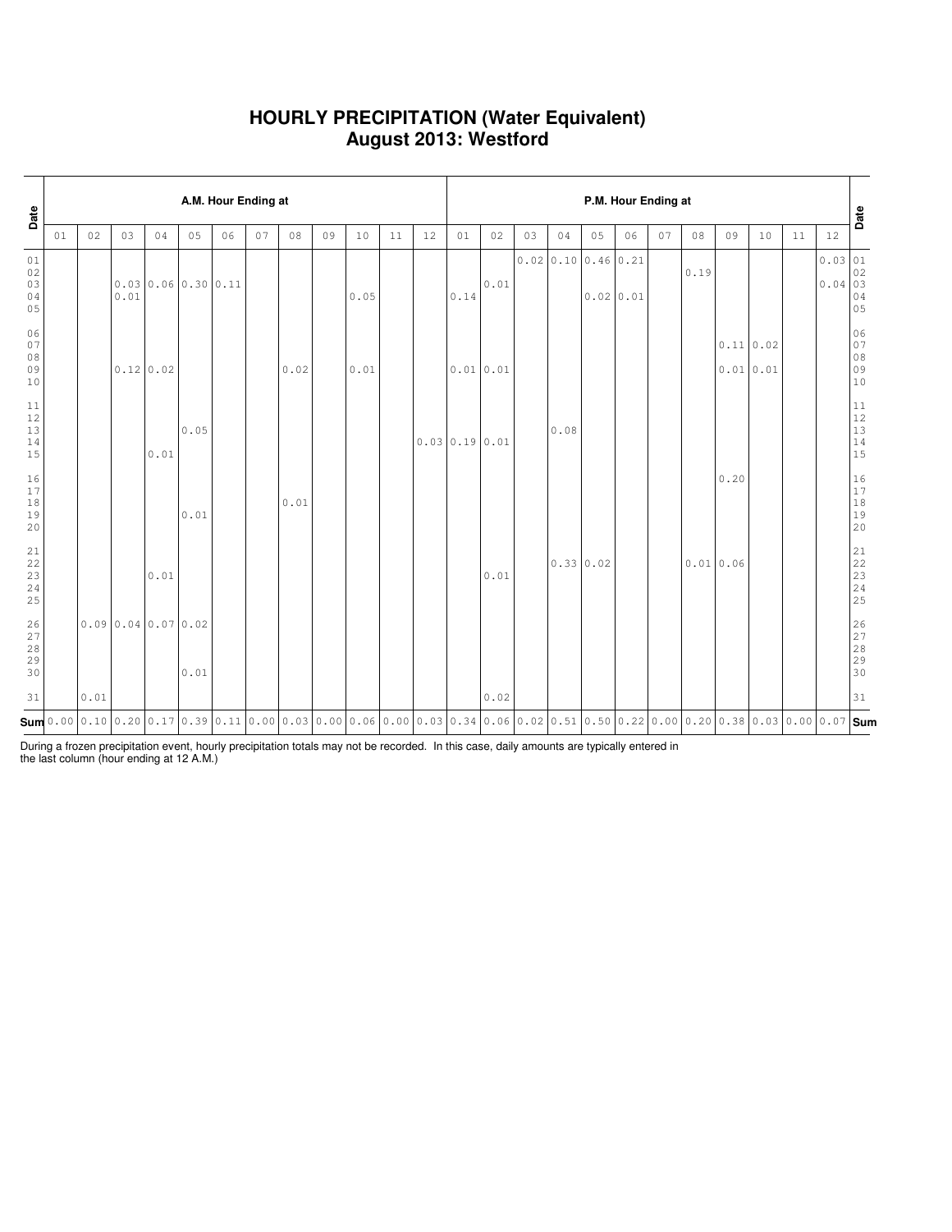### **HOURLY PRECIPITATION (Water Equivalent) August 2013: Westford**

| Date                                                      | A.M. Hour Ending at |      |      |                   |      |    |    |                                                                                                                                                                                                                                                                                                        |    |      |    |    |               |      |    |                                      |           | P.M. Hour Ending at |    |      |          |           |    |                                                          | Date                                                                                     |
|-----------------------------------------------------------|---------------------|------|------|-------------------|------|----|----|--------------------------------------------------------------------------------------------------------------------------------------------------------------------------------------------------------------------------------------------------------------------------------------------------------|----|------|----|----|---------------|------|----|--------------------------------------|-----------|---------------------|----|------|----------|-----------|----|----------------------------------------------------------|------------------------------------------------------------------------------------------|
|                                                           | 01                  | 02   | 03   | 04                | 05   | 06 | 07 | 08                                                                                                                                                                                                                                                                                                     | 09 | 10   | 11 | 12 | 01            | 02   | 03 | 04                                   | 05        | 06                  | 07 | 08   | 09       | 10        | 11 | 12                                                       |                                                                                          |
| 01<br>02<br>03<br>04<br>05                                |                     |      | 0.01 | 0.0300.060.300.11 |      |    |    |                                                                                                                                                                                                                                                                                                        |    | 0.05 |    |    | 0.14          | 0.01 |    | $0.02 \mid 0.10 \mid 0.46 \mid 0.21$ | 0.0200.01 |                     |    | 0.19 |          |           |    | 0.03 01<br>$0.04 \begin{vmatrix} 02 \\ 03 \end{vmatrix}$ | 04<br>05                                                                                 |
| 06<br>07<br>08<br>09<br>10                                |                     |      |      | $0.12 \mid 0.02$  |      |    |    | 0.02                                                                                                                                                                                                                                                                                                   |    | 0.01 |    |    | 0.01 0.01     |      |    |                                      |           |                     |    |      | 0.010.01 | 0.11 0.02 |    |                                                          | 06<br>07<br>$0\,8$<br>09<br>10                                                           |
| 11<br>12<br>13<br>14<br>15                                |                     |      |      | 0.01              | 0.05 |    |    |                                                                                                                                                                                                                                                                                                        |    |      |    |    | 0.0300.190.01 |      |    | 0.08                                 |           |                     |    |      |          |           |    |                                                          | $1\,1$<br>12<br>13<br>14<br>15                                                           |
| 16<br>17<br>18<br>19<br>20                                |                     |      |      |                   | 0.01 |    |    | 0.01                                                                                                                                                                                                                                                                                                   |    |      |    |    |               |      |    |                                      |           |                     |    |      | 0.20     |           |    |                                                          | 16<br>$1\,7$<br>$\begin{array}{c} 18 \\ 19 \end{array}$<br>20                            |
| $\begin{array}{c} 21 \\ 22 \end{array}$<br>23<br>24<br>25 |                     |      |      | 0.01              |      |    |    |                                                                                                                                                                                                                                                                                                        |    |      |    |    |               | 0.01 |    | 0.33 0.02                            |           |                     |    |      | 0.010.06 |           |    |                                                          | $\begin{array}{c} 21 \\ 22 \end{array}$<br>$\begin{array}{c} 23 \\ 24 \end{array}$<br>25 |
| 26<br>27<br>28<br>29<br>30                                |                     |      |      | 0.090.040.070.02  | 0.01 |    |    |                                                                                                                                                                                                                                                                                                        |    |      |    |    |               |      |    |                                      |           |                     |    |      |          |           |    |                                                          | 26<br>27<br>28<br>29<br>30                                                               |
| 31                                                        |                     | 0.01 |      |                   |      |    |    |                                                                                                                                                                                                                                                                                                        |    |      |    |    |               | 0.02 |    |                                      |           |                     |    |      |          |           |    |                                                          | 31                                                                                       |
|                                                           |                     |      |      |                   |      |    |    | $\mathsf{Sum}$ 0.00 $\mid$ 0.10 $\mid$ 0.20 $\mid$ 0.17 $\mid$ 0.39 $\mid$ 0.11 $\mid$ 0.00 $\mid$ 0.03 $\mid$ 0.00 $\mid$ 0.06 $\mid$ 0.00 $\mid$ 0.03 $\mid$ 0.34 $\mid$ 0.06 $\mid$ 0.02 $\mid$ 0.51 $\mid$ 0.50 $\mid$ 0.20 $\mid$ 0.00 $\mid$ 0.20 $\mid$ 0.03 $\mid$ 0.00 $\mid$ 0.07 $\mid$ Sum |    |      |    |    |               |      |    |                                      |           |                     |    |      |          |           |    |                                                          |                                                                                          |

During a frozen precipitation event, hourly precipitation totals may not be recorded. In this case, daily amounts are typically entered in the last column (hour ending at 12 A.M.)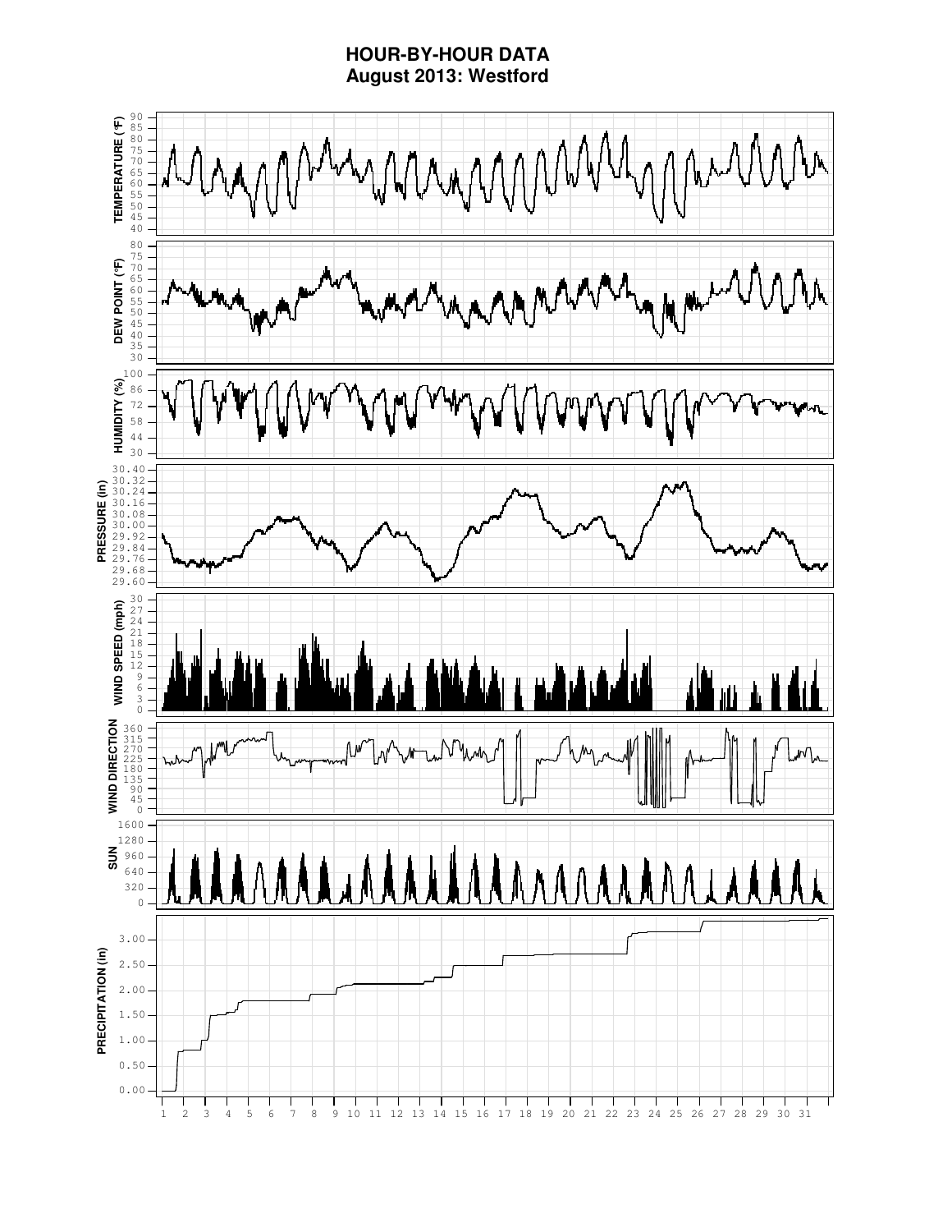### **HOUR-BY-HOUR DATA August 2013: Westford**